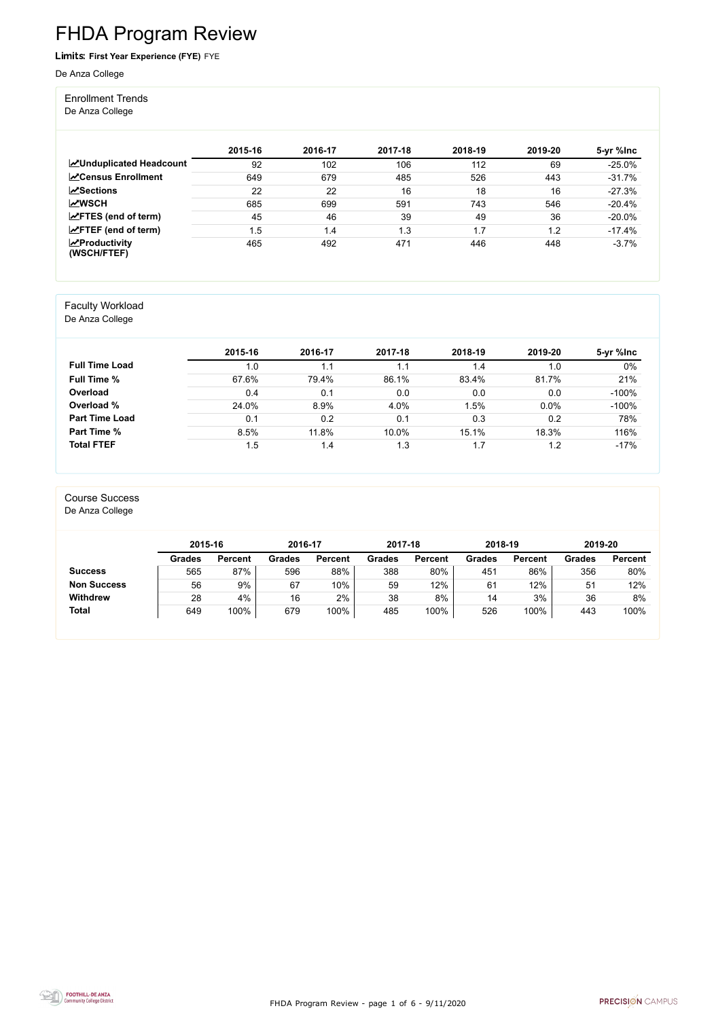FHDA Program Review - page 1 of 6 - 9/11/2020



# FHDA Program Review

Limits: **First Year Experience (FYE)** FYE

De Anza College

#### Enrollment Trends

De Anza College

|                                                  | 2015-16 | 2016-17 | 2017-18 | 2018-19 | 2019-20 | 5-yr %lnc |
|--------------------------------------------------|---------|---------|---------|---------|---------|-----------|
| <b>ZUnduplicated Headcount</b>                   | 92      | 102     | 106     | 112     | 69      | $-25.0%$  |
| <b>ZCensus Enrollment</b>                        | 649     | 679     | 485     | 526     | 443     | $-31.7%$  |
| <b>ZSections</b>                                 | 22      | 22      | 16      | 18      | 16      | $-27.3%$  |
| <b>MWSCH</b>                                     | 685     | 699     | 591     | 743     | 546     | $-20.4%$  |
| $\angle$ FTES (end of term)                      | 45      | 46      | 39      | 49      | 36      | $-20.0\%$ |
| $\angle$ FTEF (end of term)                      | 1.5     | 1.4     | 1.3     | 1.7     | 1.2     | $-17.4%$  |
| $\sqrt{\frac{1}{2}}$ Productivity<br>(WSCH/FTEF) | 465     | 492     | 471     | 446     | 448     | $-3.7%$   |

#### Faculty Workload

De Anza College

|                       | 2015-16 | 2016-17 | 2017-18 | 2018-19 | 2019-20 | 5-yr %lnc |
|-----------------------|---------|---------|---------|---------|---------|-----------|
| <b>Full Time Load</b> | 1.0     | 1.1     | 1.1     | 1.4     | 1.0     | $0\%$     |
| <b>Full Time %</b>    | 67.6%   | 79.4%   | 86.1%   | 83.4%   | 81.7%   | 21%       |
| Overload              | 0.4     | 0.1     | 0.0     | 0.0     | 0.0     | $-100%$   |
| Overload %            | 24.0%   | 8.9%    | 4.0%    | .5%     | 0.0%    | $-100%$   |
| <b>Part Time Load</b> | 0.1     | 0.2     | 0.1     | 0.3     | 0.2     | 78%       |
| <b>Part Time %</b>    | 8.5%    | 11.8%   | 10.0%   | 15.1%   | 18.3%   | 116%      |
| <b>Total FTEF</b>     | 1.5     | 1.4     | 1.3     | 1.7     | 1.2     | $-17%$    |

#### Course Success

De Anza College

|                    | 2015-16       |                | 2016-17       |                | 2017-18       |                | 2018-19       |                | 2019-20       |                |
|--------------------|---------------|----------------|---------------|----------------|---------------|----------------|---------------|----------------|---------------|----------------|
|                    | <b>Grades</b> | <b>Percent</b> | <b>Grades</b> | <b>Percent</b> | <b>Grades</b> | <b>Percent</b> | <b>Grades</b> | <b>Percent</b> | <b>Grades</b> | <b>Percent</b> |
| <b>Success</b>     | 565           | 87%            | 596           | 88%            | 388           | 80%            | 451           | 86%            | 356           | 80%            |
| <b>Non Success</b> | 56            | 9%             | 67            | $10\%$         | 59            | 12%            | 61            | 12%            | 51            | 12%            |
| <b>Withdrew</b>    | 28            | 4%             | 16            | 2%             | 38            | 8%             | 14            | 3%             | 36            | 8%             |
| <b>Total</b>       | 649           | 100%           | 679           | 100%           | 485           | 100%           | 526           | 100%           | 443           | 100%           |

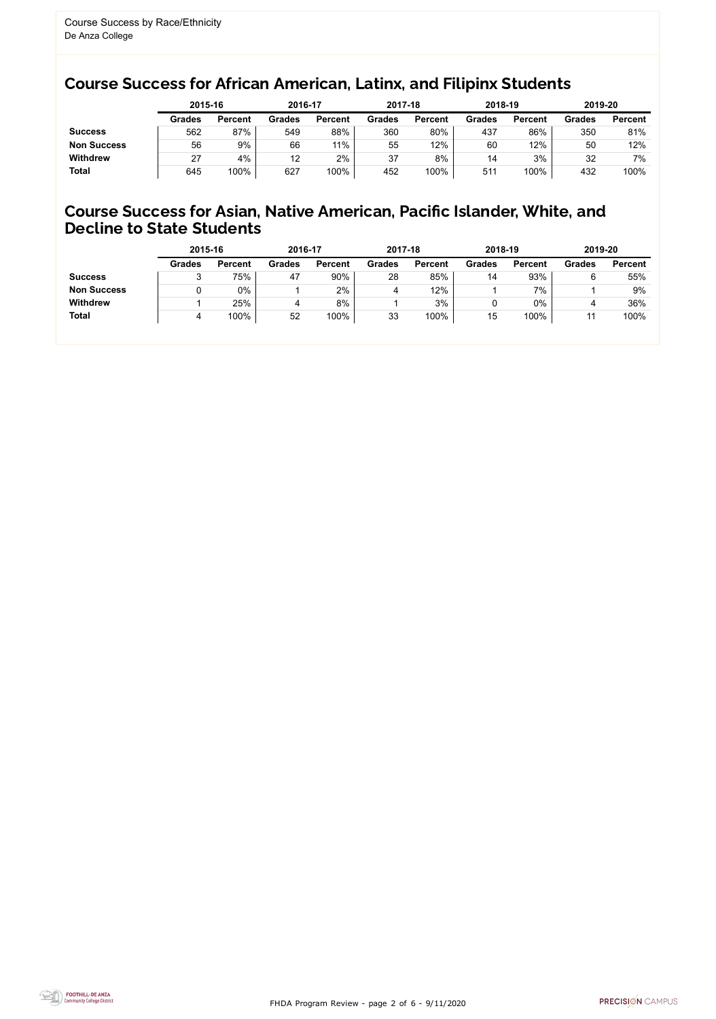FHDA Program Review - page 2 of 6 - 9/11/2020



## Course Success for African American, Latinx, and Filipinx Students

#### Course Success for Asian, Native American, Pacific Islander, White, and Decline to State Students

| 2015-16       |                | 2016-17       |                | 2017-18       |                | 2018-19       |                | 2019-20       |                |
|---------------|----------------|---------------|----------------|---------------|----------------|---------------|----------------|---------------|----------------|
| <b>Grades</b> | <b>Percent</b> | <b>Grades</b> | <b>Percent</b> | <b>Grades</b> | <b>Percent</b> | <b>Grades</b> | <b>Percent</b> | <b>Grades</b> | <b>Percent</b> |
| 562           | 87%            | 549           | 88%            | 360           | 80%            | 437           | 86%            | 350           | 81%            |
| 56            | 9%             | 66            | 11%            | 55            | 12%            | 60            | 12%            | 50            | 12%            |
| 27            | 4%             | 12            | 2%             | 37            | 8%             | 14            | 3%             | 32            | 7%             |
| 645           | 100%           | 627           | 100%           | 452           | 100%           | 511           | 100%           | 432           | 100%           |
|               |                |               |                |               |                |               |                |               |                |

|                    | 2015-16       |                | 2016-17       |                | 2017-18       |                | 2018-19       |                | 2019-20       |                |
|--------------------|---------------|----------------|---------------|----------------|---------------|----------------|---------------|----------------|---------------|----------------|
|                    | <b>Grades</b> | <b>Percent</b> | <b>Grades</b> | <b>Percent</b> | <b>Grades</b> | <b>Percent</b> | <b>Grades</b> | <b>Percent</b> | <b>Grades</b> | <b>Percent</b> |
| <b>Success</b>     | ັ             | 75%            | 47            | 90%            | 28            | 85%            | 14            | 93%            | 6             | 55%            |
| <b>Non Success</b> |               | $0\%$          |               | 2%             |               | 12%            |               | 7%             |               | 9%             |
| <b>Withdrew</b>    |               | 25%            | 4             | 8%             |               | 3%             |               | 0%             |               | 36%            |
| <b>Total</b>       |               | 100%           | 52            | 100%           | 33            | 100%           | 15            | 100%           |               | 100%           |
|                    |               |                |               |                |               |                |               |                |               |                |

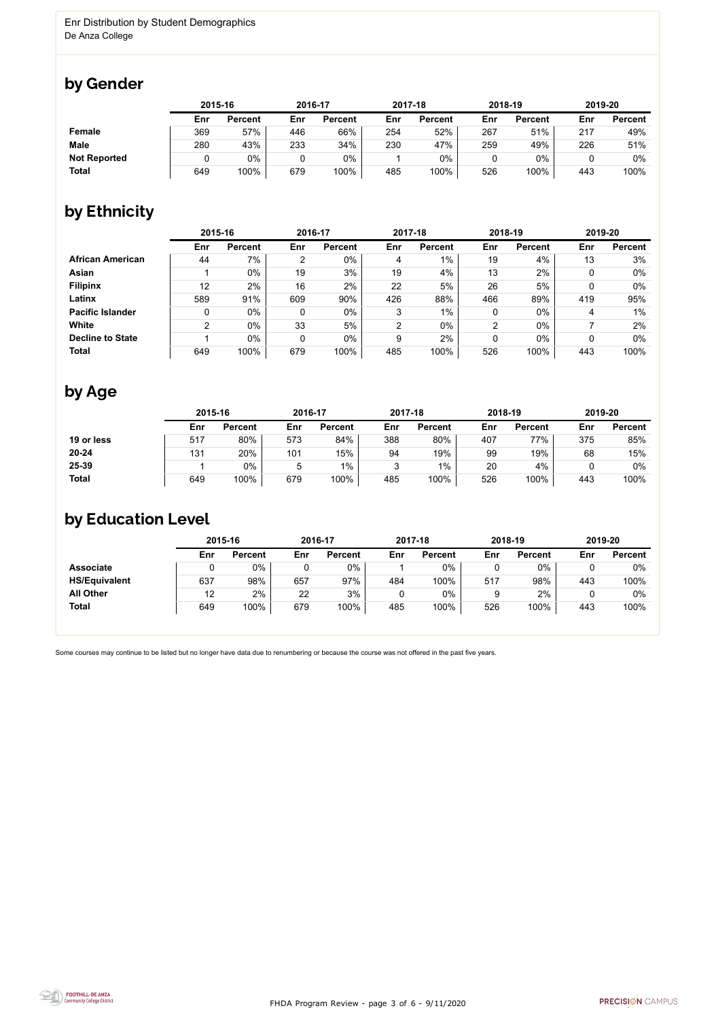FHDA Program Review - page 3 of 6 - 9/11/2020



Some courses may continue to be listed but no longer have data due to renumbering or because the course was not offered in the past five years.



## by Gender

|                     |     | 2015-16        |     | 2016-17        |     | 2017-18        |     | 2018-19        | 2019-20 |                |
|---------------------|-----|----------------|-----|----------------|-----|----------------|-----|----------------|---------|----------------|
|                     | Enr | <b>Percent</b> | Enr | <b>Percent</b> | Enr | <b>Percent</b> | Enr | <b>Percent</b> | Enr     | <b>Percent</b> |
| Female              | 369 | 57%            | 446 | 66%            | 254 | 52%            | 267 | 51%            | 217     | 49%            |
| <b>Male</b>         | 280 | 43%            | 233 | 34%            | 230 | 47%            | 259 | 49%            | 226     | 51%            |
| <b>Not Reported</b> |     | 0%             | 0   | 0%             |     | $0\%$          |     | $0\%$          |         | 0%             |
| <b>Total</b>        | 649 | 100%           | 679 | 100%           | 485 | 100%           | 526 | 100%           | 443     | 100%           |

## by Ethnicity

|                         | 2015-16 |                |     | 2016-17        |     | 2017-18        |     | 2018-19        | 2019-20 |                |
|-------------------------|---------|----------------|-----|----------------|-----|----------------|-----|----------------|---------|----------------|
|                         | Enr     | <b>Percent</b> | Enr | <b>Percent</b> | Enr | <b>Percent</b> | Enr | <b>Percent</b> | Enr     | <b>Percent</b> |
| <b>African American</b> | 44      | 7%             | 2   | $0\%$          | 4   | 1%             | 19  | 4%             | 13      | 3%             |
| Asian                   |         | $0\%$          | 19  | 3%             | 19  | 4%             | 13  | 2%             |         | 0%             |
| <b>Filipinx</b>         | 12      | 2%             | 16  | 2%             | 22  | 5%             | 26  | 5%             |         | $0\%$          |
| Latinx                  | 589     | 91%            | 609 | 90%            | 426 | 88%            | 466 | 89%            | 419     | 95%            |
| <b>Pacific Islander</b> | 0       | $0\%$          |     | $0\%$          | 3   | $1\%$          | 0   | $0\%$          | 4       | $1\%$          |
| White                   | 2       | $0\%$          | 33  | 5%             | 2   | $0\%$          | 2   | $0\%$          |         | 2%             |
| <b>Decline to State</b> |         | $0\%$          | 0   | $0\%$          | 9   | 2%             | 0   | $0\%$          |         | $0\%$          |
| <b>Total</b>            | 649     | 100%           | 679 | 100%           | 485 | 100%           | 526 | 100%           | 443     | 100%           |

## by Age

|              | 2015-16 |                |     | 2016-17        |     | 2017-18        |     | 2018-19        | 2019-20 |                |
|--------------|---------|----------------|-----|----------------|-----|----------------|-----|----------------|---------|----------------|
|              | Enr     | <b>Percent</b> | Enr | <b>Percent</b> | Enr | <b>Percent</b> | Enr | <b>Percent</b> | Enr     | <b>Percent</b> |
| 19 or less   | 517     | 80%            | 573 | 84%            | 388 | 80%            | 407 | 77%            | 375     | 85%            |
| $20 - 24$    | 131     | 20%            | 101 | 15%            | 94  | 19%            | 99  | 19%            | 68      | 15%            |
| 25-39        |         | 0%             | ხ   | $1\%$          |     | $1\%$          | 20  | 4%             |         | 0%             |
| <b>Total</b> | 649     | 100%           | 679 | 100%           | 485 | 100%           | 526 | 100%           | 443     | 100%           |

#### by Education Level

|                      | 2015-16 |                | 2016-17 |                |     | 2017-18        |     | 2018-19        | 2019-20 |                |
|----------------------|---------|----------------|---------|----------------|-----|----------------|-----|----------------|---------|----------------|
|                      | Enr     | <b>Percent</b> | Enr     | <b>Percent</b> | Enr | <b>Percent</b> | Enr | <b>Percent</b> | Enr     | <b>Percent</b> |
| <b>Associate</b>     |         | $0\%$          |         | $0\%$          |     | 0%             |     | $0\%$          |         | $0\%$          |
| <b>HS/Equivalent</b> | 637     | 98%            | 657     | 97%            | 484 | 100%           | 517 | 98%            | 443     | 100%           |
| <b>All Other</b>     | 12      | 2%             | 22      | 3%             |     | 0%             |     | 2%             |         | $0\%$          |
| <b>Total</b>         | 649     | 100%           | 679     | 100%           | 485 | 100%           | 526 | 100%           | 443     | 100%           |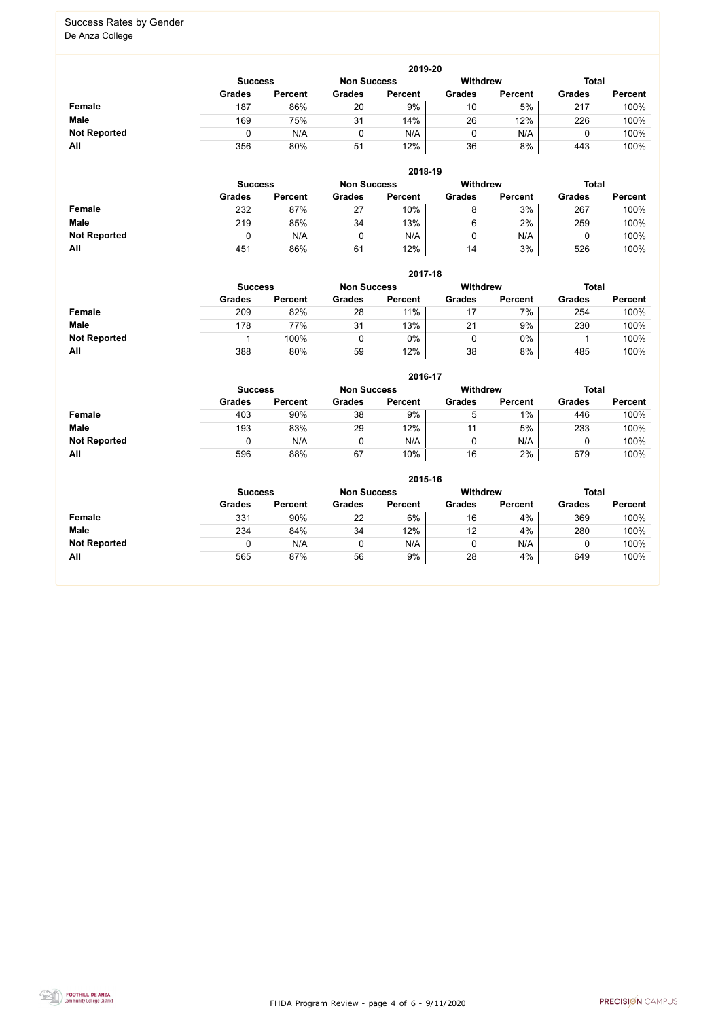FHDA Program Review - page 4 of 6 - 9/11/2020



#### Success Rates by Gender De Anza College

|                     | 2019-20        |                |                    |                 |               |                |               |                |  |  |  |  |  |
|---------------------|----------------|----------------|--------------------|-----------------|---------------|----------------|---------------|----------------|--|--|--|--|--|
|                     | <b>Success</b> |                | <b>Non Success</b> | <b>Withdrew</b> |               | <b>Total</b>   |               |                |  |  |  |  |  |
|                     | <b>Grades</b>  | <b>Percent</b> | <b>Grades</b>      | <b>Percent</b>  | <b>Grades</b> | <b>Percent</b> | <b>Grades</b> | <b>Percent</b> |  |  |  |  |  |
| <b>Female</b>       | 187            | 86%            | 20                 | 9%              | 10            | 5%             | 217           | 100%           |  |  |  |  |  |
| <b>Male</b>         | 169            | 75%            | 31                 | 14%             | 26            | 12%            | 226           | 100%           |  |  |  |  |  |
| <b>Not Reported</b> |                | N/A            | 0                  | N/A             | 0             | N/A            |               | 100%           |  |  |  |  |  |
| All                 | 356            | 80%            | 51                 | 12%             | 36            | 8%             | 443           | 100%           |  |  |  |  |  |

|                     |                | 2018-19        |                    |                |                 |                |               |                |  |  |  |  |  |  |
|---------------------|----------------|----------------|--------------------|----------------|-----------------|----------------|---------------|----------------|--|--|--|--|--|--|
|                     | <b>Success</b> |                | <b>Non Success</b> |                | <b>Withdrew</b> |                | <b>Total</b>  |                |  |  |  |  |  |  |
|                     | <b>Grades</b>  | <b>Percent</b> | <b>Grades</b>      | <b>Percent</b> | <b>Grades</b>   | <b>Percent</b> | <b>Grades</b> | <b>Percent</b> |  |  |  |  |  |  |
| <b>Female</b>       | 232            | 87%            | 27                 | 10%            | 8               | 3%             | 267           | 100%           |  |  |  |  |  |  |
| <b>Male</b>         | 219            | 85%            | 34                 | 13%            | 6               | 2%             | 259           | 100%           |  |  |  |  |  |  |
| <b>Not Reported</b> |                | N/A            |                    | N/A            |                 | N/A            |               | 100%           |  |  |  |  |  |  |
| All                 | 451            | 86%            | 61                 | 12%            | 14              | 3%             | 526           | 100%           |  |  |  |  |  |  |

|                     | 2017-18        |                |                    |                |               |                |               |                |  |  |  |  |  |
|---------------------|----------------|----------------|--------------------|----------------|---------------|----------------|---------------|----------------|--|--|--|--|--|
|                     | <b>Success</b> |                | <b>Non Success</b> |                | Withdrew      |                | <b>Total</b>  |                |  |  |  |  |  |
|                     | <b>Grades</b>  | <b>Percent</b> | <b>Grades</b>      | <b>Percent</b> | <b>Grades</b> | <b>Percent</b> | <b>Grades</b> | <b>Percent</b> |  |  |  |  |  |
| <b>Female</b>       | 209            | 82%            | 28                 | 11%            |               | 7%             | 254           | 100%           |  |  |  |  |  |
| <b>Male</b>         | 178            | 77%            | 31                 | 13%            | 21            | 9%             | 230           | 100%           |  |  |  |  |  |
| <b>Not Reported</b> |                | 100%           |                    | 0%             |               | 0%             |               | 100%           |  |  |  |  |  |
| All                 | 388            | 80%            | 59                 | 12%            | 38            | 8%             | 485           | 100%           |  |  |  |  |  |

|                     |               | 2016-17                                                 |               |                |               |                |               |                |  |
|---------------------|---------------|---------------------------------------------------------|---------------|----------------|---------------|----------------|---------------|----------------|--|
|                     |               | <b>Withdrew</b><br><b>Non Success</b><br><b>Success</b> |               |                |               |                |               | <b>Total</b>   |  |
|                     | <b>Grades</b> | <b>Percent</b>                                          | <b>Grades</b> | <b>Percent</b> | <b>Grades</b> | <b>Percent</b> | <b>Grades</b> | <b>Percent</b> |  |
| Female              | 403           | 90%                                                     | 38            | 9%             | b.            | $1\%$          | 446           | 100%           |  |
| <b>Male</b>         | 193           | 83%                                                     | 29            | 12%            | 11            | 5%             | 233           | 100%           |  |
| <b>Not Reported</b> | 0             | N/A                                                     |               | N/A            |               | N/A            |               | 100%           |  |
| All                 | 596           | 88%                                                     | 67            | 10%            | 16            | 2%             | 679           | 100%           |  |

|                     |                                                                         | 2015-16        |               |                |               |                |               |                |  |  |
|---------------------|-------------------------------------------------------------------------|----------------|---------------|----------------|---------------|----------------|---------------|----------------|--|--|
|                     | <b>Withdrew</b><br><b>Total</b><br><b>Non Success</b><br><b>Success</b> |                |               |                |               |                |               |                |  |  |
|                     | <b>Grades</b>                                                           | <b>Percent</b> | <b>Grades</b> | <b>Percent</b> | <b>Grades</b> | <b>Percent</b> | <b>Grades</b> | <b>Percent</b> |  |  |
| Female              | 331                                                                     | 90%            | 22            | 6%             | 16            | 4%             | 369           | 100%           |  |  |
| <b>Male</b>         | 234                                                                     | 84%            | 34            | 12%            | 12            | 4%             | 280           | 100%           |  |  |
| <b>Not Reported</b> |                                                                         | N/A            | 0             | N/A            | υ             | N/A            |               | 100%           |  |  |
| All                 | 565                                                                     | 87%            | 56            | 9%             | 28            | 4%             | 649           | 100%           |  |  |

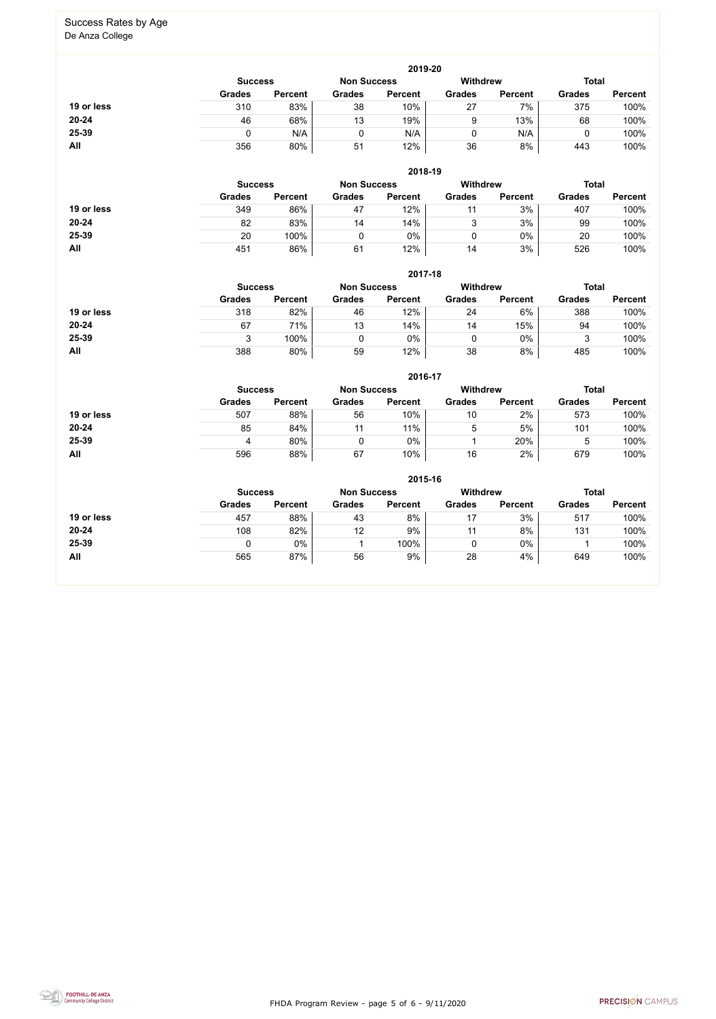FHDA Program Review - page 5 of 6 - 9/11/2020



# Success Rates by Age

De Anza College

|            | 2019-20                                                          |                |               |                |               |                |               |                |  |  |
|------------|------------------------------------------------------------------|----------------|---------------|----------------|---------------|----------------|---------------|----------------|--|--|
|            | <b>Total</b><br>Withdrew<br><b>Non Success</b><br><b>Success</b> |                |               |                |               |                |               |                |  |  |
|            | <b>Grades</b>                                                    | <b>Percent</b> | <b>Grades</b> | <b>Percent</b> | <b>Grades</b> | <b>Percent</b> | <b>Grades</b> | <b>Percent</b> |  |  |
| 19 or less | 310                                                              | 83%            | 38            | 10%            | 27            | 7%             | 375           | 100%           |  |  |
| 20-24      | 46                                                               | 68%            | 13            | 19%            | 9             | 13%            | 68            | 100%           |  |  |
| 25-39      |                                                                  | N/A            |               | N/A            |               | N/A            |               | 100%           |  |  |
| All        | 356                                                              | 80%            | 51            | 12%            | 36            | 8%             | 443           | 100%           |  |  |

|            | 2018-19                                                                 |                |               |                |               |                |               |                |  |
|------------|-------------------------------------------------------------------------|----------------|---------------|----------------|---------------|----------------|---------------|----------------|--|
|            | <b>Total</b><br><b>Withdrew</b><br><b>Non Success</b><br><b>Success</b> |                |               |                |               |                |               |                |  |
|            | <b>Grades</b>                                                           | <b>Percent</b> | <b>Grades</b> | <b>Percent</b> | <b>Grades</b> | <b>Percent</b> | <b>Grades</b> | <b>Percent</b> |  |
| 19 or less | 349                                                                     | 86%            | 47            | 12%            | 11            | 3%             | 407           | 100%           |  |
| $20 - 24$  | 82                                                                      | 83%            | 14            | 14%            | ບ             | 3%             | 99            | 100%           |  |
| 25-39      | 20                                                                      | 100%           |               | $0\%$          | 0             | $0\%$          | 20            | 100%           |  |
| All        | 451                                                                     | 86%            | 61            | 12%            | 14            | 3%             | 526           | 100%           |  |

|            | 2017-18                                                                 |                |               |                |               |                |               |                |  |  |
|------------|-------------------------------------------------------------------------|----------------|---------------|----------------|---------------|----------------|---------------|----------------|--|--|
|            | <b>Withdrew</b><br><b>Total</b><br><b>Non Success</b><br><b>Success</b> |                |               |                |               |                |               |                |  |  |
|            | <b>Grades</b>                                                           | <b>Percent</b> | <b>Grades</b> | <b>Percent</b> | <b>Grades</b> | <b>Percent</b> | <b>Grades</b> | <b>Percent</b> |  |  |
| 19 or less | 318                                                                     | 82%            | 46            | 12%            | 24            | 6%             | 388           | 100%           |  |  |
| $20 - 24$  | 67                                                                      | 71%            | 13            | 14%            | 14            | 15%            | 94            | 100%           |  |  |
| 25-39      |                                                                         | 100%           |               | $0\%$          |               | $0\%$          | ว<br>J        | 100%           |  |  |
| <b>All</b> | 388                                                                     | 80%            | 59            | 12%            | 38            | 8%             | 485           | 100%           |  |  |

|            |                                                                         |                |               | 2016-17        |               |                |               |                |
|------------|-------------------------------------------------------------------------|----------------|---------------|----------------|---------------|----------------|---------------|----------------|
|            | <b>Withdrew</b><br><b>Total</b><br><b>Non Success</b><br><b>Success</b> |                |               |                |               |                |               |                |
|            | <b>Grades</b>                                                           | <b>Percent</b> | <b>Grades</b> | <b>Percent</b> | <b>Grades</b> | <b>Percent</b> | <b>Grades</b> | <b>Percent</b> |
| 19 or less | 507                                                                     | 88%            | 56            | 10%            | 10            | 2%             | 573           | 100%           |
| $20 - 24$  | 85                                                                      | 84%            | 11            | 11%            | 5             | 5%             | 101           | 100%           |
| 25-39      | 4                                                                       | 80%            | 0             | 0%             |               | 20%            | ა             | 100%           |
| All        | 596                                                                     | 88%            | 67            | 10%            | 16            | 2%             | 679           | 100%           |

|            |                | 2015-16            |               |                 |               |                |               |                |  |  |
|------------|----------------|--------------------|---------------|-----------------|---------------|----------------|---------------|----------------|--|--|
|            | <b>Success</b> | <b>Non Success</b> |               | <b>Withdrew</b> |               | <b>Total</b>   |               |                |  |  |
|            | <b>Grades</b>  | <b>Percent</b>     | <b>Grades</b> | <b>Percent</b>  | <b>Grades</b> | <b>Percent</b> | <b>Grades</b> | <b>Percent</b> |  |  |
| 19 or less | 457            | 88%                | 43            | 8%              | 17            | 3%             | 517           | 100%           |  |  |
| 20-24      | 108            | 82%                | 12            | 9%              |               | 8%             | 131           | 100%           |  |  |
| 25-39      |                | 0%                 |               | 100%            | 0             | $0\%$          |               | 100%           |  |  |
| All        | 565            | 87%                | 56            | 9%              | 28            | 4%             | 649           | 100%           |  |  |
|            |                |                    |               |                 |               |                |               |                |  |  |